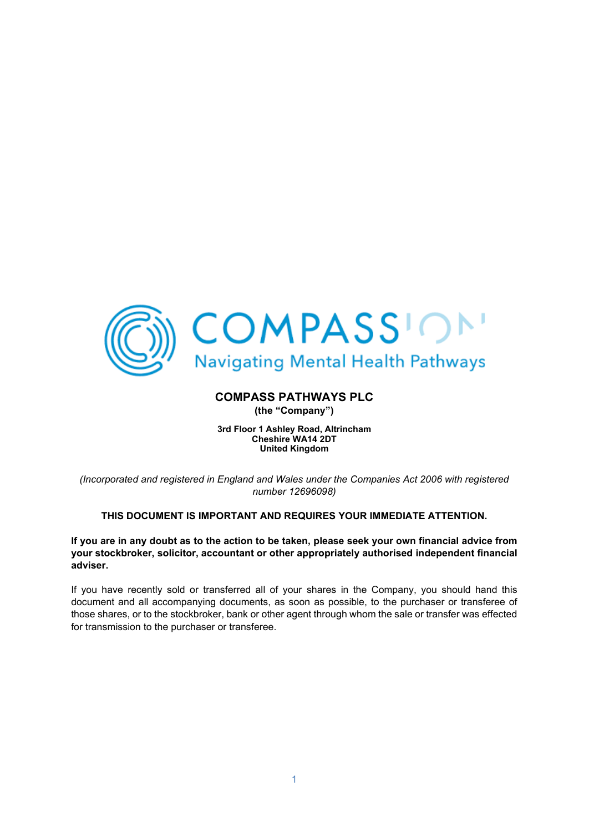

# **COMPASS PATHWAYS PLC**

**(the "Company")**

**3rd Floor 1 Ashley Road, Altrincham Cheshire WA14 2DT United Kingdom**

*(Incorporated and registered in England and Wales under the Companies Act 2006 with registered number 12696098)*

# **THIS DOCUMENT IS IMPORTANT AND REQUIRES YOUR IMMEDIATE ATTENTION.**

**If you are in any doubt as to the action to be taken, please seek your own financial advice from your stockbroker, solicitor, accountant or other appropriately authorised independent financial adviser.**

If you have recently sold or transferred all of your shares in the Company, you should hand this document and all accompanying documents, as soon as possible, to the purchaser or transferee of those shares, or to the stockbroker, bank or other agent through whom the sale or transfer was effected for transmission to the purchaser or transferee.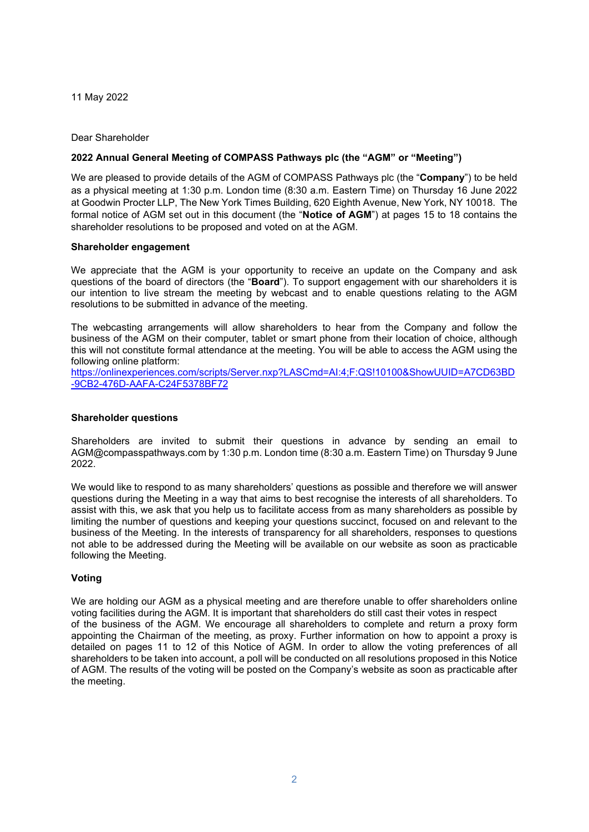11 May 2022

## Dear Shareholder

# **2022 Annual General Meeting of COMPASS Pathways plc (the "AGM" or "Meeting")**

We are pleased to provide details of the AGM of COMPASS Pathways plc (the "**Company**") to be held as a physical meeting at 1:30 p.m. London time (8:30 a.m. Eastern Time) on Thursday 16 June 2022 at Goodwin Procter LLP, The New York Times Building, 620 Eighth Avenue, New York, NY 10018. The formal notice of AGM set out in this document (the "**Notice of AGM**") at pages 15 to 18 contains the shareholder resolutions to be proposed and voted on at the AGM.

## **Shareholder engagement**

We appreciate that the AGM is your opportunity to receive an update on the Company and ask questions of the board of directors (the "**Board**"). To support engagement with our shareholders it is our intention to live stream the meeting by webcast and to enable questions relating to the AGM resolutions to be submitted in advance of the meeting.

The webcasting arrangements will allow shareholders to hear from the Company and follow the business of the AGM on their computer, tablet or smart phone from their location of choice, although this will not constitute formal attendance at the meeting. You will be able to access the AGM using the following online platform:

[https://onlinexperiences.com/scripts/Server.nxp?LASCmd=AI:4;F:QS!10100&ShowUUID=A7CD63BD](https://onlinexperiences.com/scripts/Server.nxp?LASCmd=AI:4;F:QS!10100&ShowUUID=A7CD63BD-9CB2-476D-AAFA-C24F5378BF72) [-9CB2-476D-AAFA-C24F5378BF72](https://onlinexperiences.com/scripts/Server.nxp?LASCmd=AI:4;F:QS!10100&ShowUUID=A7CD63BD-9CB2-476D-AAFA-C24F5378BF72)

## **Shareholder questions**

Shareholders are invited to submit their questions in advance by sending an email to AGM@compasspathways.com by 1:30 p.m. London time (8:30 a.m. Eastern Time) on Thursday 9 June 2022.

We would like to respond to as many shareholders' questions as possible and therefore we will answer questions during the Meeting in a way that aims to best recognise the interests of all shareholders. To assist with this, we ask that you help us to facilitate access from as many shareholders as possible by limiting the number of questions and keeping your questions succinct, focused on and relevant to the business of the Meeting. In the interests of transparency for all shareholders, responses to questions not able to be addressed during the Meeting will be available on our website as soon as practicable following the Meeting.

# **Voting**

We are holding our AGM as a physical meeting and are therefore unable to offer shareholders online voting facilities during the AGM. It is important that shareholders do still cast their votes in respect of the business of the AGM. We encourage all shareholders to complete and return a proxy form appointing the Chairman of the meeting, as proxy. Further information on how to appoint a proxy is detailed on pages 11 to 12 of this Notice of AGM. In order to allow the voting preferences of all shareholders to be taken into account, a poll will be conducted on all resolutions proposed in this Notice of AGM. The results of the voting will be posted on the Company's website as soon as practicable after the meeting.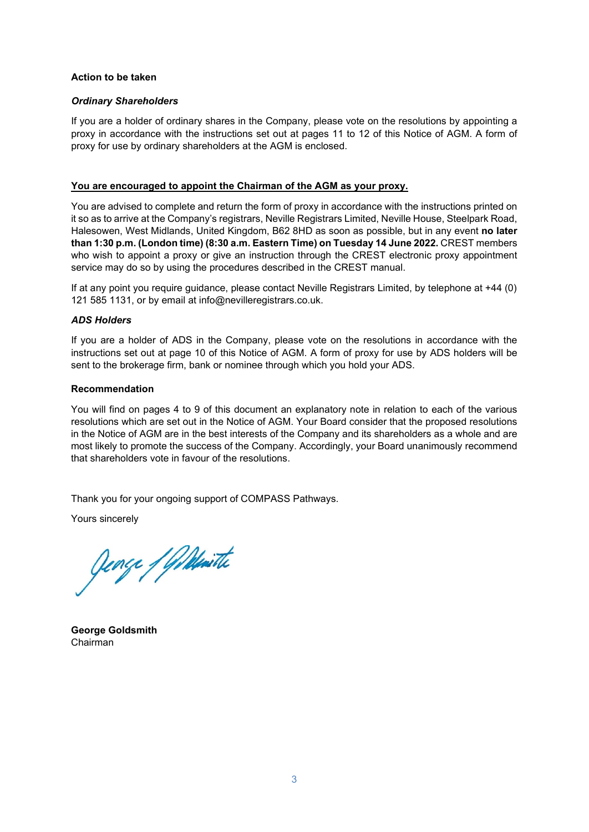# **Action to be taken**

## *Ordinary Shareholders*

If you are a holder of ordinary shares in the Company, please vote on the resolutions by appointing a proxy in accordance with the instructions set out at pages 11 to 12 of this Notice of AGM. A form of proxy for use by ordinary shareholders at the AGM is enclosed.

## **You are encouraged to appoint the Chairman of the AGM as your proxy.**

You are advised to complete and return the form of proxy in accordance with the instructions printed on it so as to arrive at the Company's registrars, Neville Registrars Limited, Neville House, Steelpark Road, Halesowen, West Midlands, United Kingdom, B62 8HD as soon as possible, but in any event **no later than 1:30 p.m. (London time) (8:30 a.m. Eastern Time) on Tuesday 14 June 2022.** CREST members who wish to appoint a proxy or give an instruction through the CREST electronic proxy appointment service may do so by using the procedures described in the CREST manual.

If at any point you require guidance, please contact Neville Registrars Limited, by telephone at +44 (0) 121 585 1131, or by email at info@nevilleregistrars.co.uk.

# *ADS Holders*

If you are a holder of ADS in the Company, please vote on the resolutions in accordance with the instructions set out at page 10 of this Notice of AGM. A form of proxy for use by ADS holders will be sent to the brokerage firm, bank or nominee through which you hold your ADS.

# **Recommendation**

You will find on pages 4 to 9 of this document an explanatory note in relation to each of the various resolutions which are set out in the Notice of AGM. Your Board consider that the proposed resolutions in the Notice of AGM are in the best interests of the Company and its shareholders as a whole and are most likely to promote the success of the Company. Accordingly, your Board unanimously recommend that shareholders vote in favour of the resolutions.

Thank you for your ongoing support of COMPASS Pathways.

Yours sincerely

Jenge / Willwith

**George Goldsmith** Chairman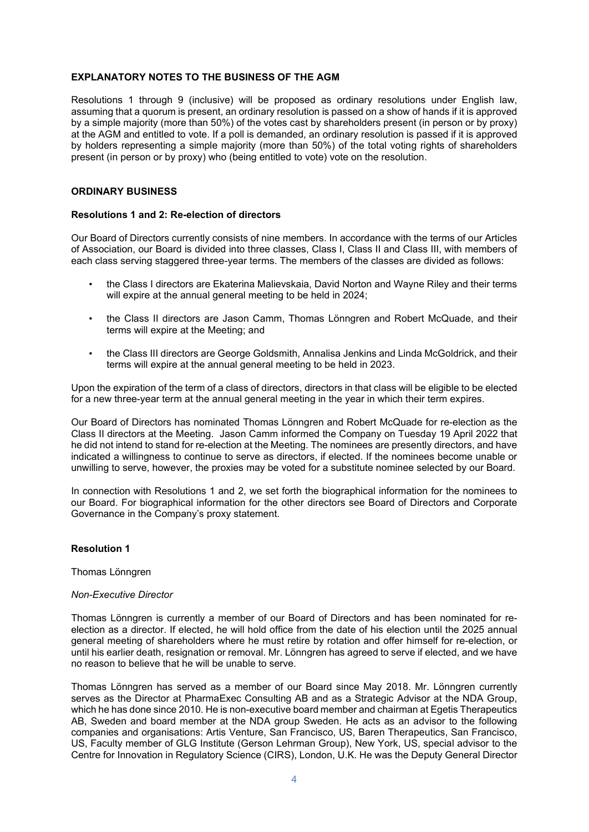## **EXPLANATORY NOTES TO THE BUSINESS OF THE AGM**

Resolutions 1 through 9 (inclusive) will be proposed as ordinary resolutions under English law, assuming that a quorum is present, an ordinary resolution is passed on a show of hands if it is approved by a simple majority (more than 50%) of the votes cast by shareholders present (in person or by proxy) at the AGM and entitled to vote. If a poll is demanded, an ordinary resolution is passed if it is approved by holders representing a simple majority (more than 50%) of the total voting rights of shareholders present (in person or by proxy) who (being entitled to vote) vote on the resolution.

# **ORDINARY BUSINESS**

# **Resolutions 1 and 2: Re-election of directors**

Our Board of Directors currently consists of nine members. In accordance with the terms of our Articles of Association, our Board is divided into three classes, Class I, Class II and Class III, with members of each class serving staggered three-year terms. The members of the classes are divided as follows:

- the Class I directors are Ekaterina Malievskaia, David Norton and Wayne Riley and their terms will expire at the annual general meeting to be held in 2024;
- the Class II directors are Jason Camm, Thomas Lönngren and Robert McQuade, and their terms will expire at the Meeting; and
- the Class III directors are George Goldsmith, Annalisa Jenkins and Linda McGoldrick, and their terms will expire at the annual general meeting to be held in 2023.

Upon the expiration of the term of a class of directors, directors in that class will be eligible to be elected for a new three-year term at the annual general meeting in the year in which their term expires.

Our Board of Directors has nominated Thomas Lönngren and Robert McQuade for re-election as the Class II directors at the Meeting. Jason Camm informed the Company on Tuesday 19 April 2022 that he did not intend to stand for re-election at the Meeting. The nominees are presently directors, and have indicated a willingness to continue to serve as directors, if elected. If the nominees become unable or unwilling to serve, however, the proxies may be voted for a substitute nominee selected by our Board.

In connection with Resolutions 1 and 2, we set forth the biographical information for the nominees to our Board. For biographical information for the other directors see Board of Directors and Corporate Governance in the Company's proxy statement.

# **Resolution 1**

## Thomas Lönngren

## *Non-Executive Director*

Thomas Lönngren is currently a member of our Board of Directors and has been nominated for reelection as a director. If elected, he will hold office from the date of his election until the 2025 annual general meeting of shareholders where he must retire by rotation and offer himself for re-election, or until his earlier death, resignation or removal. Mr. Lönngren has agreed to serve if elected, and we have no reason to believe that he will be unable to serve.

Thomas Lönngren has served as a member of our Board since May 2018. Mr. Lönngren currently serves as the Director at PharmaExec Consulting AB and as a Strategic Advisor at the NDA Group, which he has done since 2010. He is non-executive board member and chairman at Egetis Therapeutics AB, Sweden and board member at the NDA group Sweden. He acts as an advisor to the following companies and organisations: Artis Venture, San Francisco, US, Baren Therapeutics, San Francisco, US, Faculty member of GLG Institute (Gerson Lehrman Group), New York, US, special advisor to the Centre for Innovation in Regulatory Science (CIRS), London, U.K. He was the Deputy General Director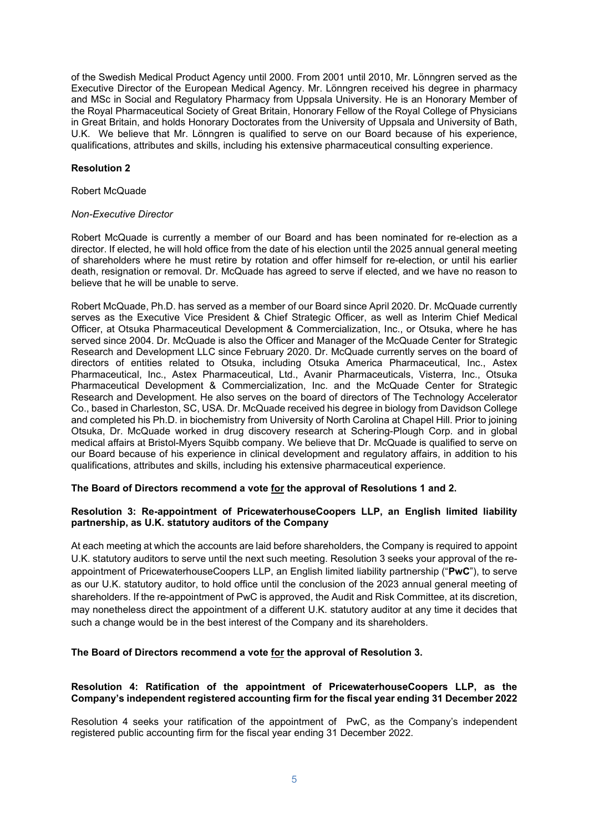of the Swedish Medical Product Agency until 2000. From 2001 until 2010, Mr. Lönngren served as the Executive Director of the European Medical Agency. Mr. Lönngren received his degree in pharmacy and MSc in Social and Regulatory Pharmacy from Uppsala University. He is an Honorary Member of the Royal Pharmaceutical Society of Great Britain, Honorary Fellow of the Royal College of Physicians in Great Britain, and holds Honorary Doctorates from the University of Uppsala and University of Bath, U.K. We believe that Mr. Lönngren is qualified to serve on our Board because of his experience, qualifications, attributes and skills, including his extensive pharmaceutical consulting experience.

# **Resolution 2**

# Robert McQuade

# *Non-Executive Director*

Robert McQuade is currently a member of our Board and has been nominated for re-election as a director. If elected, he will hold office from the date of his election until the 2025 annual general meeting of shareholders where he must retire by rotation and offer himself for re-election, or until his earlier death, resignation or removal. Dr. McQuade has agreed to serve if elected, and we have no reason to believe that he will be unable to serve.

Robert McQuade, Ph.D. has served as a member of our Board since April 2020. Dr. McQuade currently serves as the Executive Vice President & Chief Strategic Officer, as well as Interim Chief Medical Officer, at Otsuka Pharmaceutical Development & Commercialization, Inc., or Otsuka, where he has served since 2004. Dr. McQuade is also the Officer and Manager of the McQuade Center for Strategic Research and Development LLC since February 2020. Dr. McQuade currently serves on the board of directors of entities related to Otsuka, including Otsuka America Pharmaceutical, Inc., Astex Pharmaceutical, Inc., Astex Pharmaceutical, Ltd., Avanir Pharmaceuticals, Visterra, Inc., Otsuka Pharmaceutical Development & Commercialization, Inc. and the McQuade Center for Strategic Research and Development. He also serves on the board of directors of The Technology Accelerator Co., based in Charleston, SC, USA. Dr. McQuade received his degree in biology from Davidson College and completed his Ph.D. in biochemistry from University of North Carolina at Chapel Hill. Prior to joining Otsuka, Dr. McQuade worked in drug discovery research at Schering-Plough Corp. and in global medical affairs at Bristol-Myers Squibb company. We believe that Dr. McQuade is qualified to serve on our Board because of his experience in clinical development and regulatory affairs, in addition to his qualifications, attributes and skills, including his extensive pharmaceutical experience.

# **The Board of Directors recommend a vote for the approval of Resolutions 1 and 2.**

# **Resolution 3: Re-appointment of PricewaterhouseCoopers LLP, an English limited liability partnership, as U.K. statutory auditors of the Company**

At each meeting at which the accounts are laid before shareholders, the Company is required to appoint U.K. statutory auditors to serve until the next such meeting. Resolution 3 seeks your approval of the reappointment of PricewaterhouseCoopers LLP, an English limited liability partnership ("**PwC**"), to serve as our U.K. statutory auditor, to hold office until the conclusion of the 2023 annual general meeting of shareholders. If the re-appointment of PwC is approved, the Audit and Risk Committee, at its discretion, may nonetheless direct the appointment of a different U.K. statutory auditor at any time it decides that such a change would be in the best interest of the Company and its shareholders.

# **The Board of Directors recommend a vote for the approval of Resolution 3.**

# **Resolution 4: Ratification of the appointment of PricewaterhouseCoopers LLP, as the Company's independent registered accounting firm for the fiscal year ending 31 December 2022**

Resolution 4 seeks your ratification of the appointment of PwC, as the Company's independent registered public accounting firm for the fiscal year ending 31 December 2022.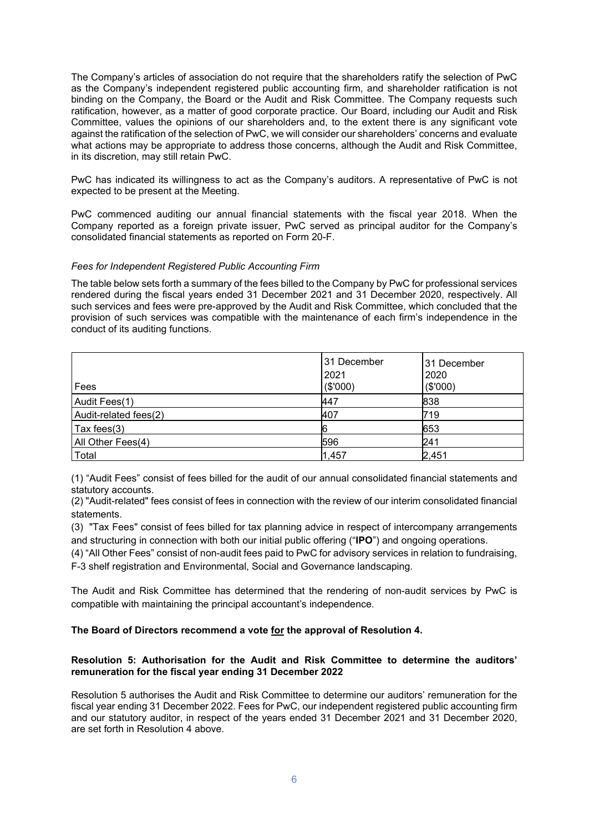The Company's articles of association do not require that the shareholders ratify the selection of PwC as the Company's independent registered public accounting firm, and shareholder ratification is not binding on the Company, the Board or the Audit and Risk Committee. The Company requests such ratification, however, as a matter of good corporate practice. Our Board, including our Audit and Risk Committee, values the opinions of our shareholders and, to the extent there is any significant vote against the ratification of the selection of PwC, we will consider our shareholders' concerns and evaluate what actions may be appropriate to address those concerns, although the Audit and Risk Committee, in its discretion, may still retain PwC.

PwC has indicated its willingness to act as the Company's auditors. A representative of PwC is not expected to be present at the Meeting.

PwC commenced auditing our annual financial statements with the fiscal year 2018. When the Company reported as a foreign private issuer, PwC served as principal auditor for the Company's consolidated financial statements as reported on Form 20-F.

# *Fees for Independent Registered Public Accounting Firm*

The table below sets forth a summary of the fees billed to the Company by PwC for professional services rendered during the fiscal years ended 31 December 2021 and 31 December 2020, respectively. All such services and fees were pre-approved by the Audit and Risk Committee, which concluded that the provision of such services was compatible with the maintenance of each firm's independence in the conduct of its auditing functions.

| Fees                  | 31 December<br>2021<br>(\$'000) | 31 December<br>2020<br>(\$'000) |
|-----------------------|---------------------------------|---------------------------------|
| Audit Fees(1)         | 447                             | 838                             |
| Audit-related fees(2) | 407                             | 719                             |
| Tax fees(3)           |                                 | 653                             |
| All Other Fees(4)     | 596                             | 241                             |
| Total                 | 1,457                           | 2,451                           |

(1) "Audit Fees" consist of fees billed for the audit of our annual consolidated financial statements and statutory accounts.

(2) "Audit-related" fees consist of fees in connection with the review of our interim consolidated financial statements.

(3) "Tax Fees" consist of fees billed for tax planning advice in respect of intercompany arrangements and structuring in connection with both our initial public offering ("**IPO**") and ongoing operations.

(4) "All Other Fees" consist of non-audit fees paid to PwC for advisory services in relation to fundraising, F-3 shelf registration and Environmental, Social and Governance landscaping.

The Audit and Risk Committee has determined that the rendering of non-audit services by PwC is compatible with maintaining the principal accountant's independence.

# **The Board of Directors recommend a vote for the approval of Resolution 4.**

# **Resolution 5: Authorisation for the Audit and Risk Committee to determine the auditors' remuneration for the fiscal year ending 31 December 2022**

Resolution 5 authorises the Audit and Risk Committee to determine our auditors' remuneration for the fiscal year ending 31 December 2022. Fees for PwC, our independent registered public accounting firm and our statutory auditor, in respect of the years ended 31 December 2021 and 31 December 2020, are set forth in Resolution 4 above.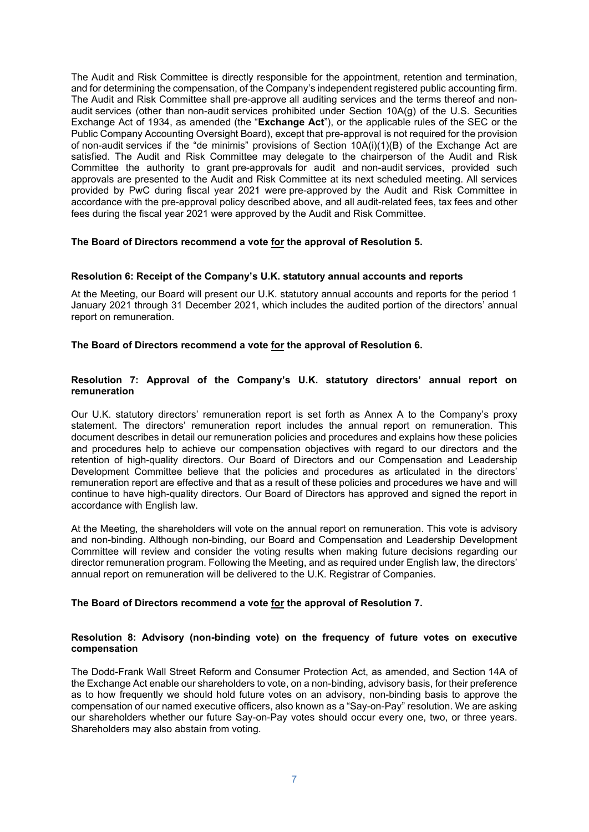The Audit and Risk Committee is directly responsible for the appointment, retention and termination, and for determining the compensation, of the Company's independent registered public accounting firm. The Audit and Risk Committee shall pre-approve all auditing services and the terms thereof and nonaudit services (other than non-audit services prohibited under Section 10A(g) of the U.S. Securities Exchange Act of 1934, as amended (the "**Exchange Act**"), or the applicable rules of the SEC or the Public Company Accounting Oversight Board), except that pre-approval is not required for the provision of non-audit services if the "de minimis" provisions of Section 10A(i)(1)(B) of the Exchange Act are satisfied. The Audit and Risk Committee may delegate to the chairperson of the Audit and Risk Committee the authority to grant pre-approvals for audit and non-audit services, provided such approvals are presented to the Audit and Risk Committee at its next scheduled meeting. All services provided by PwC during fiscal year 2021 were pre-approved by the Audit and Risk Committee in accordance with the pre-approval policy described above, and all audit-related fees, tax fees and other fees during the fiscal year 2021 were approved by the Audit and Risk Committee.

# **The Board of Directors recommend a vote for the approval of Resolution 5.**

## **Resolution 6: Receipt of the Company's U.K. statutory annual accounts and reports**

At the Meeting, our Board will present our U.K. statutory annual accounts and reports for the period 1 January 2021 through 31 December 2021, which includes the audited portion of the directors' annual report on remuneration.

**The Board of Directors recommend a vote for the approval of Resolution 6.**

# **Resolution 7: Approval of the Company's U.K. statutory directors' annual report on remuneration**

Our U.K. statutory directors' remuneration report is set forth as Annex A to the Company's proxy statement. The directors' remuneration report includes the annual report on remuneration. This document describes in detail our remuneration policies and procedures and explains how these policies and procedures help to achieve our compensation objectives with regard to our directors and the retention of high-quality directors. Our Board of Directors and our Compensation and Leadership Development Committee believe that the policies and procedures as articulated in the directors' remuneration report are effective and that as a result of these policies and procedures we have and will continue to have high-quality directors. Our Board of Directors has approved and signed the report in accordance with English law.

At the Meeting, the shareholders will vote on the annual report on remuneration. This vote is advisory and non-binding. Although non-binding, our Board and Compensation and Leadership Development Committee will review and consider the voting results when making future decisions regarding our director remuneration program. Following the Meeting, and as required under English law, the directors' annual report on remuneration will be delivered to the U.K. Registrar of Companies.

## **The Board of Directors recommend a vote for the approval of Resolution 7.**

## **Resolution 8: Advisory (non-binding vote) on the frequency of future votes on executive compensation**

The Dodd-Frank Wall Street Reform and Consumer Protection Act, as amended, and Section 14A of the Exchange Act enable our shareholders to vote, on a non-binding, advisory basis, for their preference as to how frequently we should hold future votes on an advisory, non-binding basis to approve the compensation of our named executive officers, also known as a "Say-on-Pay" resolution. We are asking our shareholders whether our future Say-on-Pay votes should occur every one, two, or three years. Shareholders may also abstain from voting.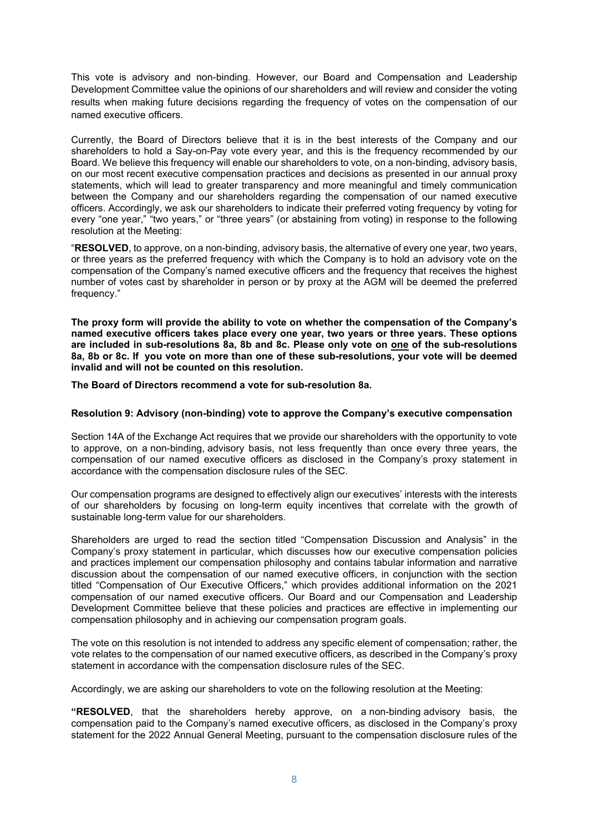This vote is advisory and non-binding. However, our Board and Compensation and Leadership Development Committee value the opinions of our shareholders and will review and consider the voting results when making future decisions regarding the frequency of votes on the compensation of our named executive officers.

Currently, the Board of Directors believe that it is in the best interests of the Company and our shareholders to hold a Say-on-Pay vote every year, and this is the frequency recommended by our Board. We believe this frequency will enable our shareholders to vote, on a non-binding, advisory basis, on our most recent executive compensation practices and decisions as presented in our annual proxy statements, which will lead to greater transparency and more meaningful and timely communication between the Company and our shareholders regarding the compensation of our named executive officers. Accordingly, we ask our shareholders to indicate their preferred voting frequency by voting for every "one year," "two years," or "three years" (or abstaining from voting) in response to the following resolution at the Meeting:

"**RESOLVED**, to approve, on a non-binding, advisory basis, the alternative of every one year, two years, or three years as the preferred frequency with which the Company is to hold an advisory vote on the compensation of the Company's named executive officers and the frequency that receives the highest number of votes cast by shareholder in person or by proxy at the AGM will be deemed the preferred frequency."

**The proxy form will provide the ability to vote on whether the compensation of the Company's named executive officers takes place every one year, two years or three years. These options are included in sub-resolutions 8a, 8b and 8c. Please only vote on one of the sub-resolutions 8a, 8b or 8c. If you vote on more than one of these sub-resolutions, your vote will be deemed invalid and will not be counted on this resolution.** 

**The Board of Directors recommend a vote for sub-resolution 8a.** 

# **Resolution 9: Advisory (non-binding) vote to approve the Company's executive compensation**

Section 14A of the Exchange Act requires that we provide our shareholders with the opportunity to vote to approve, on a non-binding, advisory basis, not less frequently than once every three years, the compensation of our named executive officers as disclosed in the Company's proxy statement in accordance with the compensation disclosure rules of the SEC.

Our compensation programs are designed to effectively align our executives' interests with the interests of our shareholders by focusing on long-term equity incentives that correlate with the growth of sustainable long-term value for our shareholders.

Shareholders are urged to read the section titled "Compensation Discussion and Analysis" in the Company's proxy statement in particular, which discusses how our executive compensation policies and practices implement our compensation philosophy and contains tabular information and narrative discussion about the compensation of our named executive officers, in conjunction with the section titled "Compensation of Our Executive Officers," which provides additional information on the 2021 compensation of our named executive officers. Our Board and our Compensation and Leadership Development Committee believe that these policies and practices are effective in implementing our compensation philosophy and in achieving our compensation program goals.

The vote on this resolution is not intended to address any specific element of compensation; rather, the vote relates to the compensation of our named executive officers, as described in the Company's proxy statement in accordance with the compensation disclosure rules of the SEC.

Accordingly, we are asking our shareholders to vote on the following resolution at the Meeting:

**"RESOLVED**, that the shareholders hereby approve, on a non-binding advisory basis, the compensation paid to the Company's named executive officers, as disclosed in the Company's proxy statement for the 2022 Annual General Meeting, pursuant to the compensation disclosure rules of the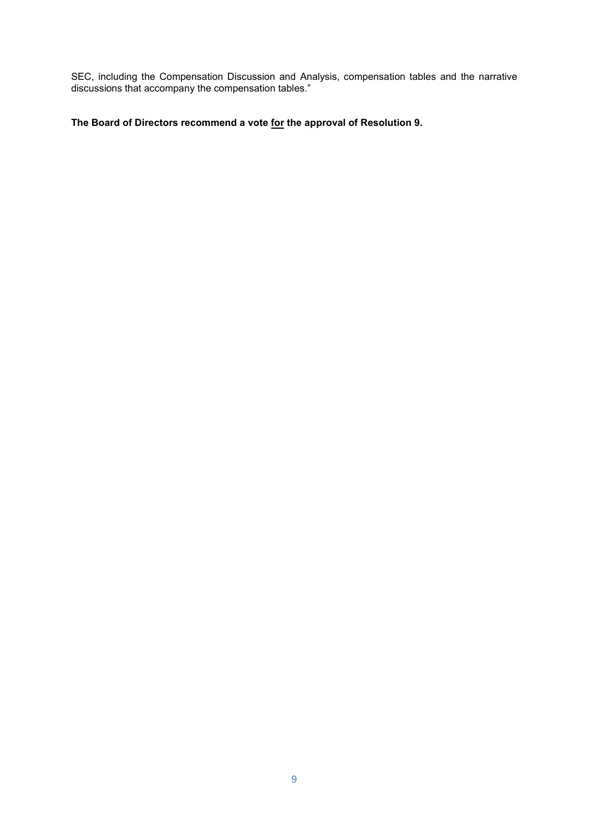SEC, including the Compensation Discussion and Analysis, compensation tables and the narrative discussions that accompany the compensation tables."

**The Board of Directors recommend a vote for the approval of Resolution 9.**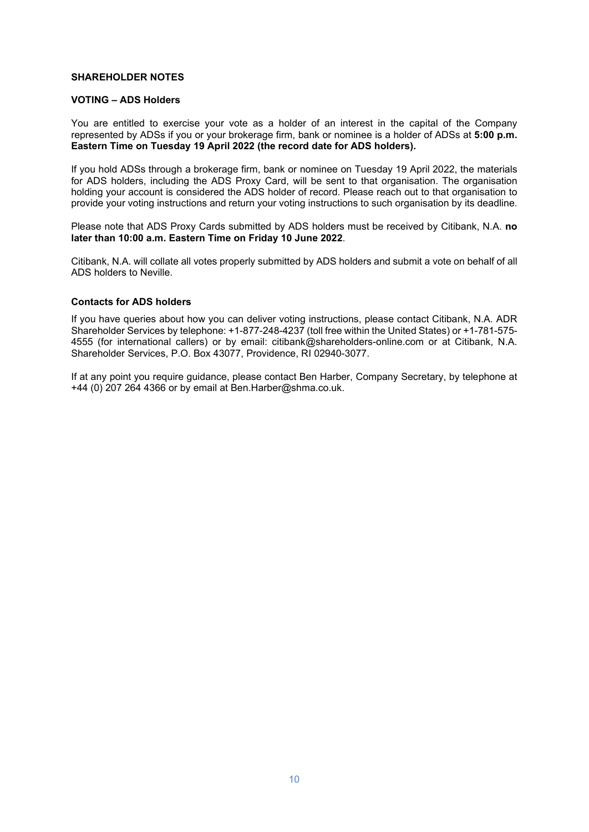## **SHAREHOLDER NOTES**

## **VOTING – ADS Holders**

You are entitled to exercise your vote as a holder of an interest in the capital of the Company represented by ADSs if you or your brokerage firm, bank or nominee is a holder of ADSs at **5:00 p.m. Eastern Time on Tuesday 19 April 2022 (the record date for ADS holders).**

If you hold ADSs through a brokerage firm, bank or nominee on Tuesday 19 April 2022, the materials for ADS holders, including the ADS Proxy Card, will be sent to that organisation. The organisation holding your account is considered the ADS holder of record. Please reach out to that organisation to provide your voting instructions and return your voting instructions to such organisation by its deadline.

Please note that ADS Proxy Cards submitted by ADS holders must be received by Citibank, N.A. **no later than 10:00 a.m. Eastern Time on Friday 10 June 2022**.

Citibank, N.A. will collate all votes properly submitted by ADS holders and submit a vote on behalf of all ADS holders to Neville.

## **Contacts for ADS holders**

If you have queries about how you can deliver voting instructions, please contact Citibank, N.A. ADR Shareholder Services by telephone: +1-877-248-4237 (toll free within the United States) or +1-781-575- 4555 (for international callers) or by email: citibank@shareholders-online.com or at Citibank, N.A. Shareholder Services, P.O. Box 43077, Providence, RI 02940-3077.

If at any point you require guidance, please contact Ben Harber, Company Secretary, by telephone at +44 (0) 207 264 4366 or by email at Ben.Harber@shma.co.uk.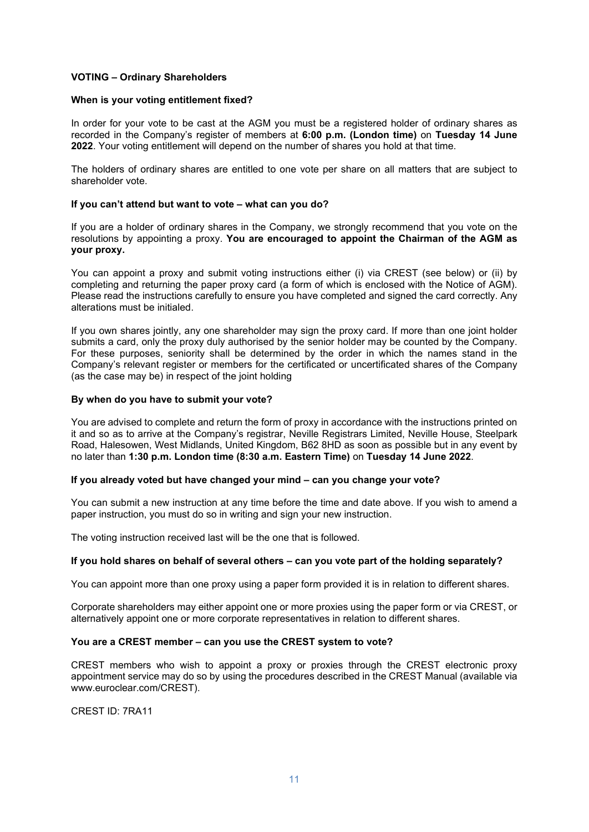# **VOTING – Ordinary Shareholders**

## **When is your voting entitlement fixed?**

In order for your vote to be cast at the AGM you must be a registered holder of ordinary shares as recorded in the Company's register of members at **6:00 p.m. (London time)** on **Tuesday 14 June 2022**. Your voting entitlement will depend on the number of shares you hold at that time.

The holders of ordinary shares are entitled to one vote per share on all matters that are subject to shareholder vote.

#### **If you can't attend but want to vote – what can you do?**

If you are a holder of ordinary shares in the Company, we strongly recommend that you vote on the resolutions by appointing a proxy. **You are encouraged to appoint the Chairman of the AGM as your proxy.** 

You can appoint a proxy and submit voting instructions either (i) via CREST (see below) or (ii) by completing and returning the paper proxy card (a form of which is enclosed with the Notice of AGM). Please read the instructions carefully to ensure you have completed and signed the card correctly. Any alterations must be initialed.

If you own shares jointly, any one shareholder may sign the proxy card. If more than one joint holder submits a card, only the proxy duly authorised by the senior holder may be counted by the Company. For these purposes, seniority shall be determined by the order in which the names stand in the Company's relevant register or members for the certificated or uncertificated shares of the Company (as the case may be) in respect of the joint holding

#### **By when do you have to submit your vote?**

You are advised to complete and return the form of proxy in accordance with the instructions printed on it and so as to arrive at the Company's registrar, Neville Registrars Limited, Neville House, Steelpark Road, Halesowen, West Midlands, United Kingdom, B62 8HD as soon as possible but in any event by no later than **1:30 p.m. London time (8:30 a.m. Eastern Time)** on **Tuesday 14 June 2022**.

## **If you already voted but have changed your mind – can you change your vote?**

You can submit a new instruction at any time before the time and date above. If you wish to amend a paper instruction, you must do so in writing and sign your new instruction.

The voting instruction received last will be the one that is followed.

## **If you hold shares on behalf of several others – can you vote part of the holding separately?**

You can appoint more than one proxy using a paper form provided it is in relation to different shares.

Corporate shareholders may either appoint one or more proxies using the paper form or via CREST, or alternatively appoint one or more corporate representatives in relation to different shares.

## **You are a CREST member – can you use the CREST system to vote?**

CREST members who wish to appoint a proxy or proxies through the CREST electronic proxy appointment service may do so by using the procedures described in the CREST Manual (available via www.euroclear.com/CREST).

CREST ID: 7RA11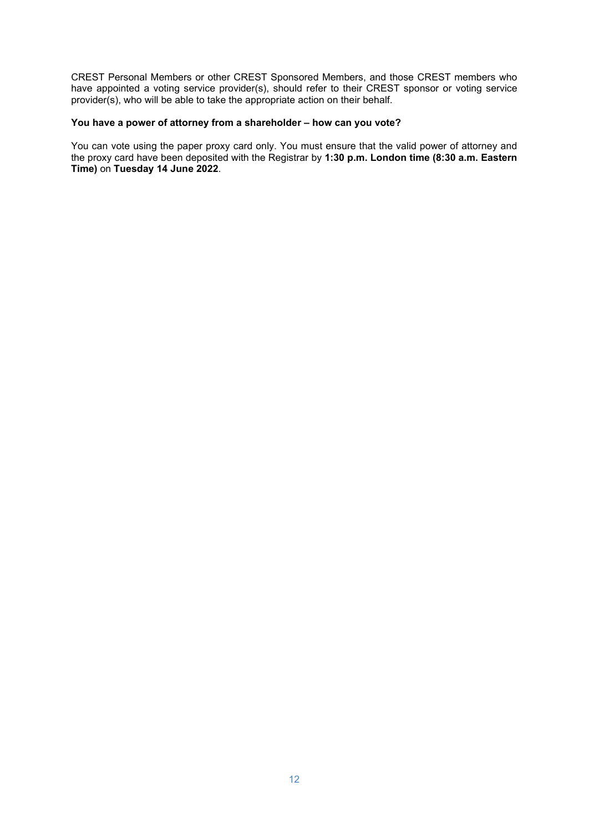CREST Personal Members or other CREST Sponsored Members, and those CREST members who have appointed a voting service provider(s), should refer to their CREST sponsor or voting service provider(s), who will be able to take the appropriate action on their behalf.

# **You have a power of attorney from a shareholder – how can you vote?**

You can vote using the paper proxy card only. You must ensure that the valid power of attorney and the proxy card have been deposited with the Registrar by **1:30 p.m. London time (8:30 a.m. Eastern Time)** on **Tuesday 14 June 2022**.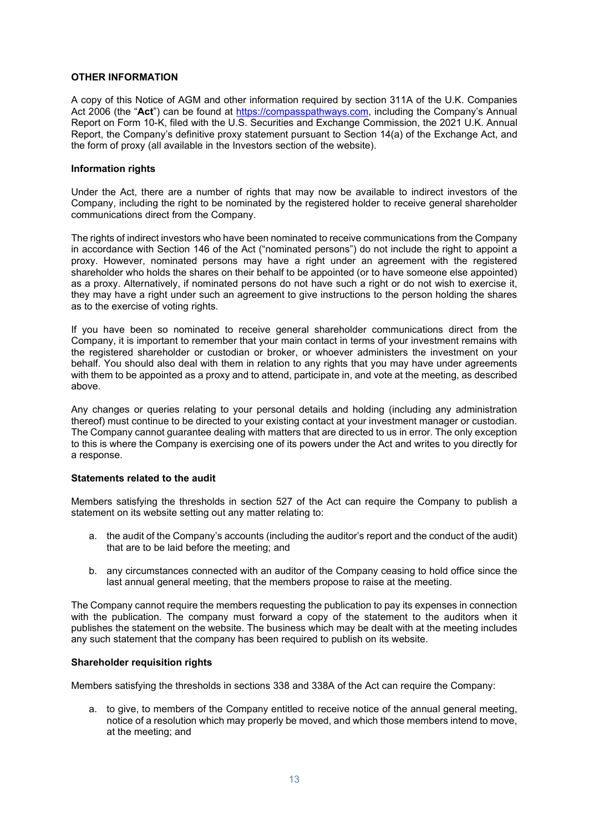# **OTHER INFORMATION**

A copy of this Notice of AGM and other information required by section 311A of the U.K. Companies Act 2006 (the "**Act**") can be found at [https://compasspathways.com,](https://compasspathways.com/) including the Company's Annual Report on Form 10-K, filed with the U.S. Securities and Exchange Commission, the 2021 U.K. Annual Report, the Company's definitive proxy statement pursuant to Section 14(a) of the Exchange Act, and the form of proxy (all available in the Investors section of the website).

## **Information rights**

Under the Act, there are a number of rights that may now be available to indirect investors of the Company, including the right to be nominated by the registered holder to receive general shareholder communications direct from the Company.

The rights of indirect investors who have been nominated to receive communications from the Company in accordance with Section 146 of the Act ("nominated persons") do not include the right to appoint a proxy. However, nominated persons may have a right under an agreement with the registered shareholder who holds the shares on their behalf to be appointed (or to have someone else appointed) as a proxy. Alternatively, if nominated persons do not have such a right or do not wish to exercise it, they may have a right under such an agreement to give instructions to the person holding the shares as to the exercise of voting rights.

If you have been so nominated to receive general shareholder communications direct from the Company, it is important to remember that your main contact in terms of your investment remains with the registered shareholder or custodian or broker, or whoever administers the investment on your behalf. You should also deal with them in relation to any rights that you may have under agreements with them to be appointed as a proxy and to attend, participate in, and vote at the meeting, as described above.

Any changes or queries relating to your personal details and holding (including any administration thereof) must continue to be directed to your existing contact at your investment manager or custodian. The Company cannot guarantee dealing with matters that are directed to us in error. The only exception to this is where the Company is exercising one of its powers under the Act and writes to you directly for a response.

## **Statements related to the audit**

Members satisfying the thresholds in section 527 of the Act can require the Company to publish a statement on its website setting out any matter relating to:

- a. the audit of the Company's accounts (including the auditor's report and the conduct of the audit) that are to be laid before the meeting; and
- b. any circumstances connected with an auditor of the Company ceasing to hold office since the last annual general meeting, that the members propose to raise at the meeting.

The Company cannot require the members requesting the publication to pay its expenses in connection with the publication. The company must forward a copy of the statement to the auditors when it publishes the statement on the website. The business which may be dealt with at the meeting includes any such statement that the company has been required to publish on its website.

## **Shareholder requisition rights**

Members satisfying the thresholds in sections 338 and 338A of the Act can require the Company:

a. to give, to members of the Company entitled to receive notice of the annual general meeting, notice of a resolution which may properly be moved, and which those members intend to move, at the meeting; and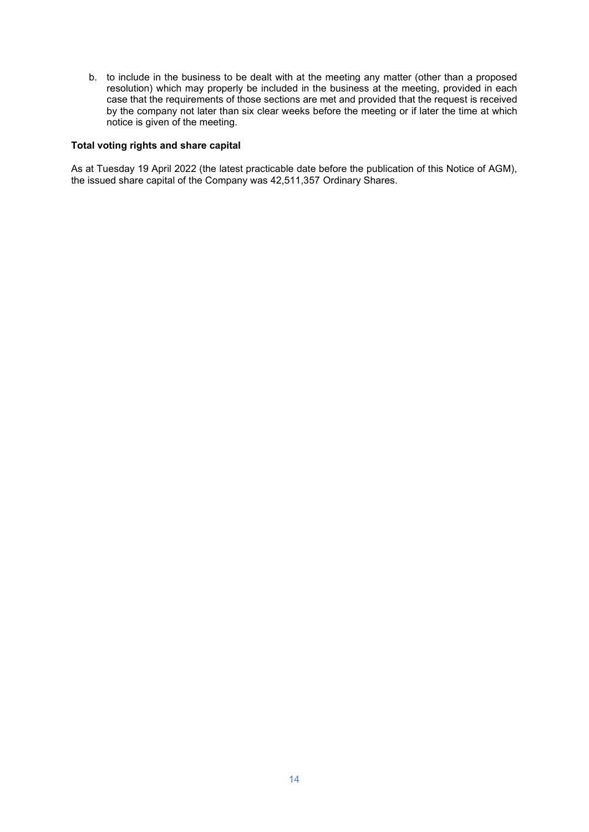b. to include in the business to be dealt with at the meeting any matter (other than a proposed resolution) which may properly be included in the business at the meeting, provided in each case that the requirements of those sections are met and provided that the request is received by the company not later than six clear weeks before the meeting or if later the time at which notice is given of the meeting.

# **Total voting rights and share capital**

As at Tuesday 19 April 2022 (the latest practicable date before the publication of this Notice of AGM), the issued share capital of the Company was 42,511,357 Ordinary Shares.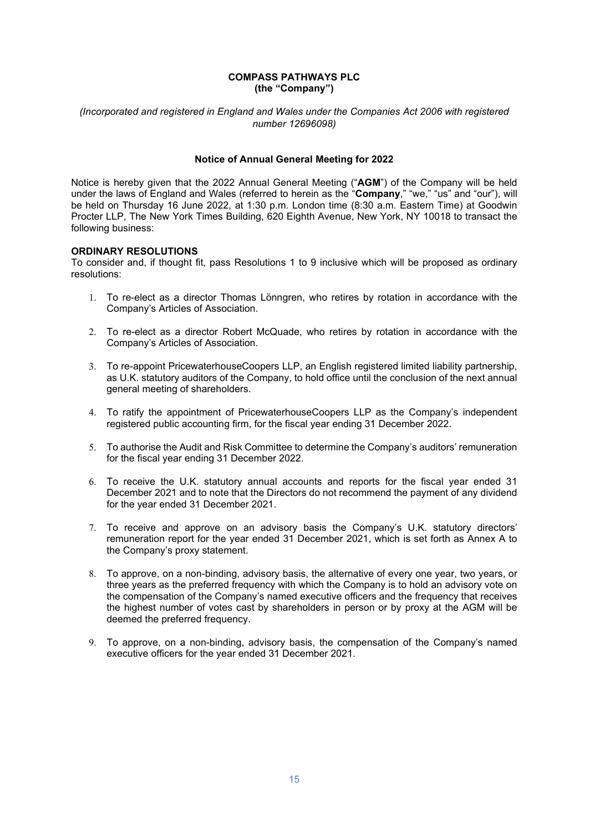## **COMPASS PATHWAYS PLC (the "Company")**

# *(Incorporated and registered in England and Wales under the Companies Act 2006 with registered number 12696098)*

# **Notice of Annual General Meeting for 2022**

Notice is hereby given that the 2022 Annual General Meeting ("**AGM**") of the Company will be held under the laws of England and Wales (referred to herein as the "**Company**," "we," "us" and "our"), will be held on Thursday 16 June 2022, at 1:30 p.m. London time (8:30 a.m. Eastern Time) at Goodwin Procter LLP, The New York Times Building, 620 Eighth Avenue, New York, NY 10018 to transact the following business:

# **ORDINARY RESOLUTIONS**

To consider and, if thought fit, pass Resolutions 1 to 9 inclusive which will be proposed as ordinary resolutions:

- 1. To re-elect as a director Thomas Lönngren, who retires by rotation in accordance with the Company's Articles of Association.
- 2. To re-elect as a director Robert McQuade, who retires by rotation in accordance with the Company's Articles of Association.
- 3. To re-appoint PricewaterhouseCoopers LLP, an English registered limited liability partnership, as U.K. statutory auditors of the Company, to hold office until the conclusion of the next annual general meeting of shareholders.
- 4. To ratify the appointment of PricewaterhouseCoopers LLP as the Company's independent registered public accounting firm, for the fiscal year ending 31 December 2022.
- 5. To authorise the Audit and Risk Committee to determine the Company's auditors' remuneration for the fiscal year ending 31 December 2022.
- 6. To receive the U.K. statutory annual accounts and reports for the fiscal year ended 31 December 2021 and to note that the Directors do not recommend the payment of any dividend for the year ended 31 December 2021.
- 7. To receive and approve on an advisory basis the Company's U.K. statutory directors' remuneration report for the year ended 31 December 2021, which is set forth as Annex A to the Company's proxy statement.
- 8. To approve, on a non-binding, advisory basis, the alternative of every one year, two years, or three years as the preferred frequency with which the Company is to hold an advisory vote on the compensation of the Company's named executive officers and the frequency that receives the highest number of votes cast by shareholders in person or by proxy at the AGM will be deemed the preferred frequency.
- 9. To approve, on a non-binding, advisory basis, the compensation of the Company's named executive officers for the year ended 31 December 2021.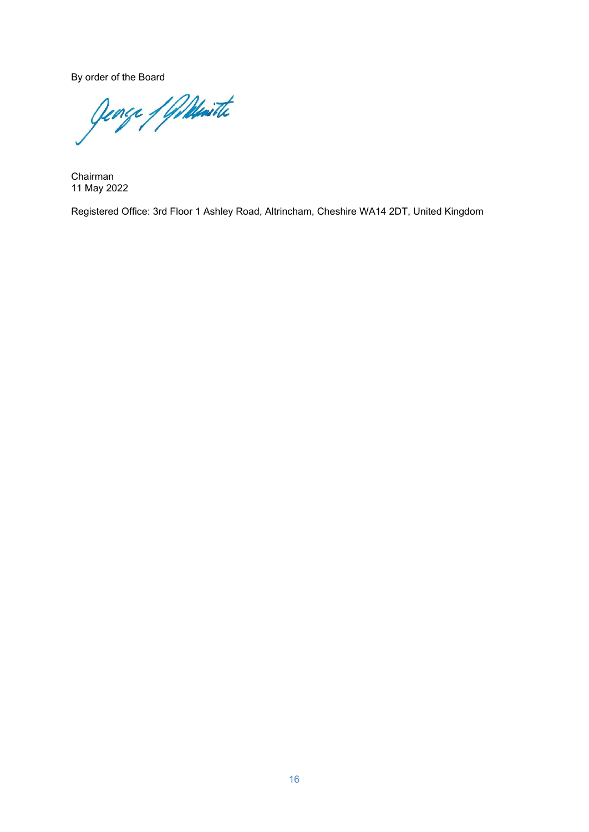By order of the Board<br>Opence / Williamitte

Chairman 11 May 2022

Registered Office: 3rd Floor 1 Ashley Road, Altrincham, Cheshire WA14 2DT, United Kingdom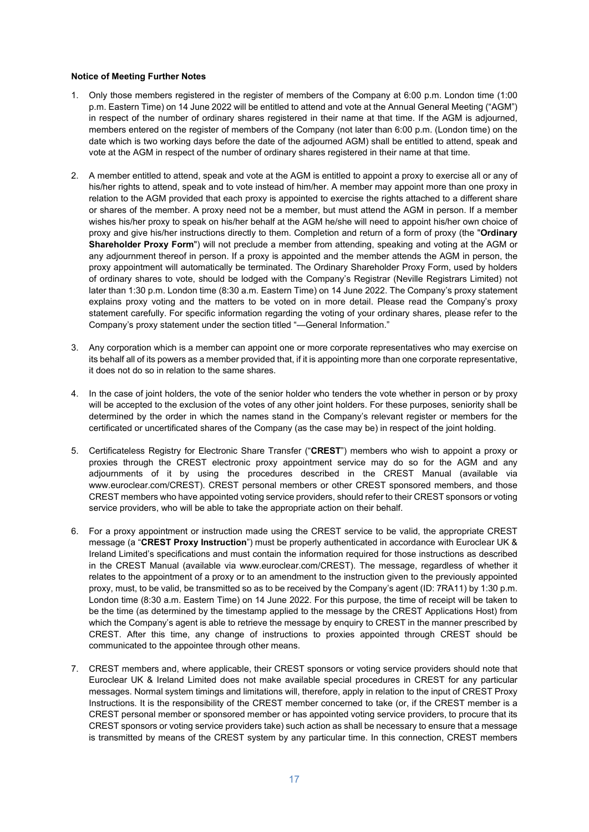#### **Notice of Meeting Further Notes**

- 1. Only those members registered in the register of members of the Company at 6:00 p.m. London time (1:00 p.m. Eastern Time) on 14 June 2022 will be entitled to attend and vote at the Annual General Meeting ("AGM") in respect of the number of ordinary shares registered in their name at that time. If the AGM is adjourned, members entered on the register of members of the Company (not later than 6:00 p.m. (London time) on the date which is two working days before the date of the adjourned AGM) shall be entitled to attend, speak and vote at the AGM in respect of the number of ordinary shares registered in their name at that time.
- 2. A member entitled to attend, speak and vote at the AGM is entitled to appoint a proxy to exercise all or any of his/her rights to attend, speak and to vote instead of him/her. A member may appoint more than one proxy in relation to the AGM provided that each proxy is appointed to exercise the rights attached to a different share or shares of the member. A proxy need not be a member, but must attend the AGM in person. If a member wishes his/her proxy to speak on his/her behalf at the AGM he/she will need to appoint his/her own choice of proxy and give his/her instructions directly to them. Completion and return of a form of proxy (the "**Ordinary Shareholder Proxy Form**") will not preclude a member from attending, speaking and voting at the AGM or any adjournment thereof in person. If a proxy is appointed and the member attends the AGM in person, the proxy appointment will automatically be terminated. The Ordinary Shareholder Proxy Form, used by holders of ordinary shares to vote, should be lodged with the Company's Registrar (Neville Registrars Limited) not later than 1:30 p.m. London time (8:30 a.m. Eastern Time) on 14 June 2022. The Company's proxy statement explains proxy voting and the matters to be voted on in more detail. Please read the Company's proxy statement carefully. For specific information regarding the voting of your ordinary shares, please refer to the Company's proxy statement under the section titled "—General Information."
- 3. Any corporation which is a member can appoint one or more corporate representatives who may exercise on its behalf all of its powers as a member provided that, if it is appointing more than one corporate representative, it does not do so in relation to the same shares.
- 4. In the case of joint holders, the vote of the senior holder who tenders the vote whether in person or by proxy will be accepted to the exclusion of the votes of any other joint holders. For these purposes, seniority shall be determined by the order in which the names stand in the Company's relevant register or members for the certificated or uncertificated shares of the Company (as the case may be) in respect of the joint holding.
- 5. Certificateless Registry for Electronic Share Transfer ("**CREST**") members who wish to appoint a proxy or proxies through the CREST electronic proxy appointment service may do so for the AGM and any adjournments of it by using the procedures described in the CREST Manual (available via www.euroclear.com/CREST). CREST personal members or other CREST sponsored members, and those CREST members who have appointed voting service providers, should refer to their CREST sponsors or voting service providers, who will be able to take the appropriate action on their behalf.
- 6. For a proxy appointment or instruction made using the CREST service to be valid, the appropriate CREST message (a "**CREST Proxy Instruction**") must be properly authenticated in accordance with Euroclear UK & Ireland Limited's specifications and must contain the information required for those instructions as described in the CREST Manual (available via www.euroclear.com/CREST). The message, regardless of whether it relates to the appointment of a proxy or to an amendment to the instruction given to the previously appointed proxy, must, to be valid, be transmitted so as to be received by the Company's agent (ID: 7RA11) by 1:30 p.m. London time (8:30 a.m. Eastern Time) on 14 June 2022. For this purpose, the time of receipt will be taken to be the time (as determined by the timestamp applied to the message by the CREST Applications Host) from which the Company's agent is able to retrieve the message by enquiry to CREST in the manner prescribed by CREST. After this time, any change of instructions to proxies appointed through CREST should be communicated to the appointee through other means.
- 7. CREST members and, where applicable, their CREST sponsors or voting service providers should note that Euroclear UK & Ireland Limited does not make available special procedures in CREST for any particular messages. Normal system timings and limitations will, therefore, apply in relation to the input of CREST Proxy Instructions. It is the responsibility of the CREST member concerned to take (or, if the CREST member is a CREST personal member or sponsored member or has appointed voting service providers, to procure that its CREST sponsors or voting service providers take) such action as shall be necessary to ensure that a message is transmitted by means of the CREST system by any particular time. In this connection, CREST members